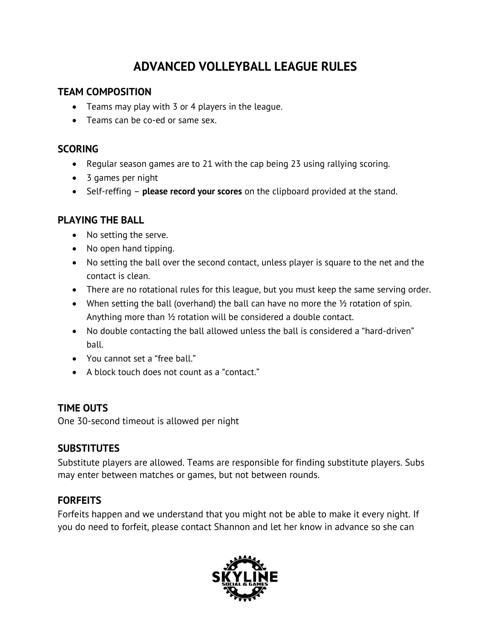# **ADVANCED VOLLEYBALL LEAGUE RULES**

#### **TEAM COMPOSITION**

- Teams may play with 3 or 4 players in the league.
- Teams can be co-ed or same sex.

#### **SCORING**

- Regular season games are to 21 with the cap being 23 using rallying scoring.
- 3 games per night
- Self-reffing **please record your scores** on the clipboard provided at the stand.

#### **PLAYING THE BALL**

- No setting the serve.
- No open hand tipping.
- No setting the ball over the second contact, unless player is square to the net and the contact is clean.
- There are no rotational rules for this league, but you must keep the same serving order.
- When setting the ball (overhand) the ball can have no more the ½ rotation of spin. Anything more than ½ rotation will be considered a double contact.
- No double contacting the ball allowed unless the ball is considered a "hard-driven" ball.
- You cannot set a "free ball."
- A block touch does not count as a "contact."

# **TIME OUTS**

One 30-second timeout is allowed per night

#### **SUBSTITUTES**

Substitute players are allowed. Teams are responsible for finding substitute players. Subs may enter between matches or games, but not between rounds.

# **FORFEITS**

Forfeits happen and we understand that you might not be able to make it every night. If you do need to forfeit, please contact Shannon and let her know in advance so she can